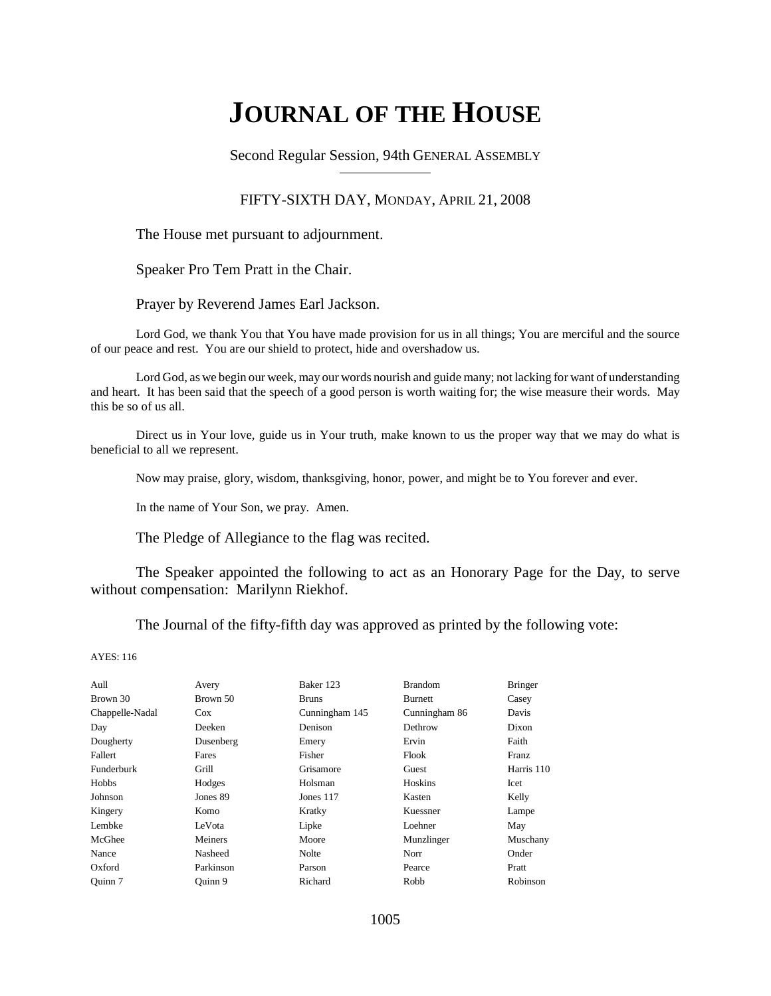# **JOURNAL OF THE HOUSE**

Second Regular Session, 94th GENERAL ASSEMBLY

## FIFTY-SIXTH DAY, MONDAY, APRIL 21, 2008

The House met pursuant to adjournment.

Speaker Pro Tem Pratt in the Chair.

Prayer by Reverend James Earl Jackson.

Lord God, we thank You that You have made provision for us in all things; You are merciful and the source of our peace and rest. You are our shield to protect, hide and overshadow us.

Lord God, as we begin our week, may our words nourish and guide many; not lacking for want of understanding and heart. It has been said that the speech of a good person is worth waiting for; the wise measure their words. May this be so of us all.

Direct us in Your love, guide us in Your truth, make known to us the proper way that we may do what is beneficial to all we represent.

Now may praise, glory, wisdom, thanksgiving, honor, power, and might be to You forever and ever.

In the name of Your Son, we pray. Amen.

The Pledge of Allegiance to the flag was recited.

The Speaker appointed the following to act as an Honorary Page for the Day, to serve without compensation: Marilynn Riekhof.

The Journal of the fifty-fifth day was approved as printed by the following vote:

AYES: 116

| Aull              | Avery     | Baker 123      | <b>Brandom</b> | <b>Bringer</b> |
|-------------------|-----------|----------------|----------------|----------------|
| Brown 30          | Brown 50  | <b>Bruns</b>   | Burnett        | Casey          |
| Chappelle-Nadal   | $\cos$    | Cunningham 145 | Cunningham 86  | Davis          |
| Day               | Deeken    | Denison        | Dethrow        | Dixon          |
| Dougherty         | Dusenberg | Emery          | Ervin          | Faith          |
| Fallert           | Fares     | Fisher         | Flook          | Franz          |
| <b>Funderburk</b> | Grill     | Grisamore      | Guest          | Harris 110     |
| Hobbs             | Hodges    | Holsman        | Hoskins        | Icet           |
| Johnson           | Jones 89  | Jones $117$    | Kasten         | Kelly          |
| Kingery           | Komo      | Kratky         | Kuessner       | Lampe          |
| Lembke            | LeVota    | Lipke          | Loehner        | May            |
| McGhee            | Meiners   | Moore          | Munzlinger     | Muschany       |
| Nance             | Nasheed   | Nolte          | Norr           | Onder          |
| Oxford            | Parkinson | Parson         | Pearce         | Pratt          |
| Ouinn 7           | Ouinn 9   | Richard        | Robb           | Robinson       |
|                   |           |                |                |                |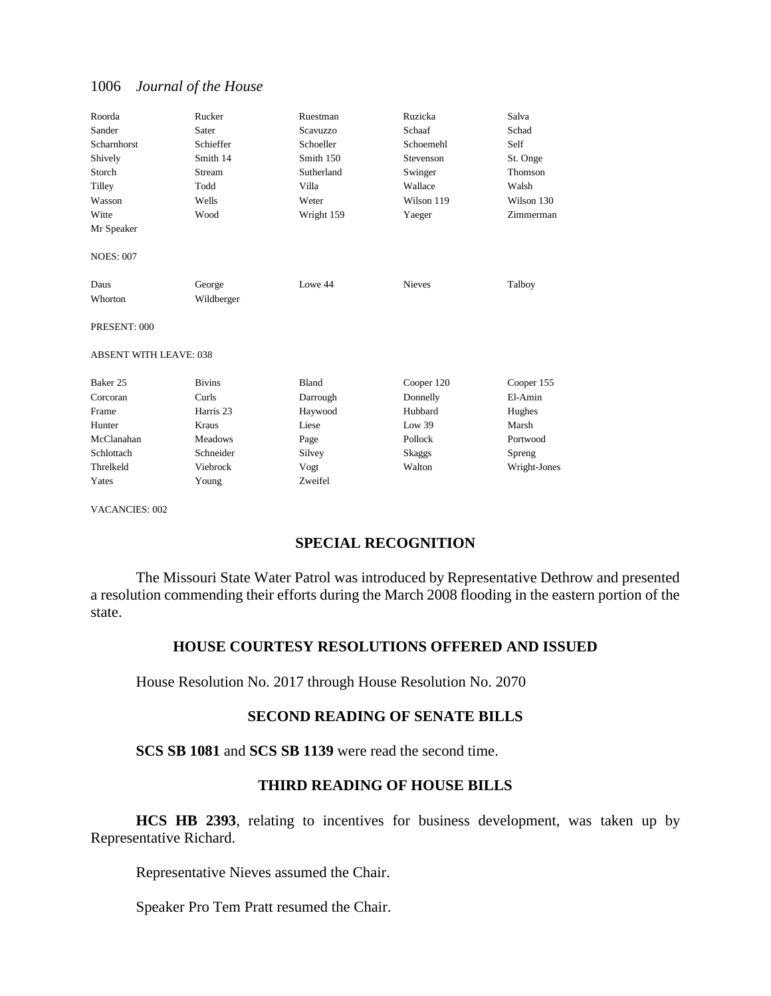| Roorda                        | Rucker         | Ruestman   | Ruzicka       | Salva        |
|-------------------------------|----------------|------------|---------------|--------------|
| Sander                        | Sater          | Scavuzzo   | Schaaf        | Schad        |
| Scharnhorst                   | Schieffer      | Schoeller  | Schoemehl     | Self         |
| Shively                       | Smith 14       | Smith 150  | Stevenson     | St. Onge     |
| Storch                        | Stream         | Sutherland | Swinger       | Thomson      |
| Tilley                        | Todd           | Villa      | Wallace       | Walsh        |
| Wasson                        | Wells          | Weter      | Wilson 119    | Wilson 130   |
| Witte                         | Wood           | Wright 159 | Yaeger        | Zimmerman    |
| Mr Speaker                    |                |            |               |              |
| <b>NOES: 007</b>              |                |            |               |              |
| Daus                          | George         | Lowe 44    | <b>Nieves</b> | Talboy       |
| Whorton                       | Wildberger     |            |               |              |
| PRESENT: 000                  |                |            |               |              |
| <b>ABSENT WITH LEAVE: 038</b> |                |            |               |              |
| Baker 25                      | <b>Bivins</b>  | Bland      | Cooper 120    | Cooper 155   |
| Corcoran                      | Curls          | Darrough   | Donnelly      | El-Amin      |
| Frame                         | Harris 23      | Haywood    | Hubbard       | Hughes       |
| Hunter                        | Kraus          | Liese      | Low 39        | Marsh        |
| McClanahan                    | <b>Meadows</b> | Page       | Pollock       | Portwood     |
| Schlottach                    | Schneider      | Silvey     | Skaggs        | Spreng       |
| Threlkeld                     | Viebrock       | Vogt       | Walton        | Wright-Jones |
| Yates                         | Young          | Zweifel    |               |              |

VACANCIES: 002

## **SPECIAL RECOGNITION**

The Missouri State Water Patrol was introduced by Representative Dethrow and presented a resolution commending their efforts during the March 2008 flooding in the eastern portion of the state.

## **HOUSE COURTESY RESOLUTIONS OFFERED AND ISSUED**

House Resolution No. 2017 through House Resolution No. 2070

# **SECOND READING OF SENATE BILLS**

**SCS SB 1081** and **SCS SB 1139** were read the second time.

# **THIRD READING OF HOUSE BILLS**

**HCS HB 2393**, relating to incentives for business development, was taken up by Representative Richard.

Representative Nieves assumed the Chair.

Speaker Pro Tem Pratt resumed the Chair.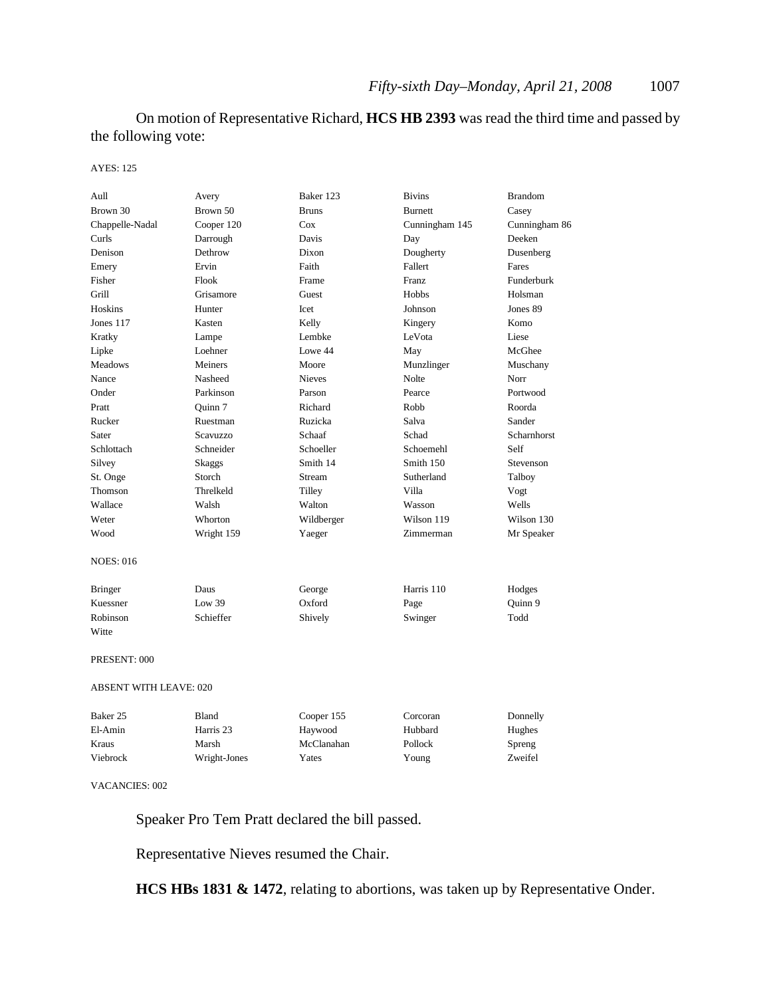On motion of Representative Richard, **HCS HB 2393** was read the third time and passed by the following vote:

#### AYES: 125

| Aull             | Avery      | Baker 123     | <b>Bivins</b>  | <b>Brandom</b> |
|------------------|------------|---------------|----------------|----------------|
| Brown 30         | Brown 50   | <b>Bruns</b>  | <b>Burnett</b> | Casey          |
| Chappelle-Nadal  | Cooper 120 | Cox           | Cunningham 145 | Cunningham 86  |
| Curls            | Darrough   | Davis         | Day            | Deeken         |
| Denison          | Dethrow    | Dixon         | Dougherty      | Dusenberg      |
| Emery            | Ervin      | Faith         | Fallert        | Fares          |
| Fisher           | Flook      | Frame         | Franz          | Funderburk     |
| Grill            | Grisamore  | Guest         | Hobbs          | Holsman        |
| Hoskins          | Hunter     | <b>I</b> cet  | Johnson        | Jones 89       |
| Jones 117        | Kasten     | Kelly         | Kingery        | Komo           |
| Kratky           | Lampe      | Lembke        | LeVota         | Liese          |
| Lipke            | Loehner    | Lowe 44       | May            | McGhee         |
| <b>Meadows</b>   | Meiners    | Moore         | Munzlinger     | Muschany       |
| Nance            | Nasheed    | <b>Nieves</b> | <b>Nolte</b>   | Norr           |
| Onder            | Parkinson  | Parson        | Pearce         | Portwood       |
| Pratt            | Ouinn 7    | Richard       | Robb           | Roorda         |
| Rucker           | Ruestman   | Ruzicka       | Salva          | Sander         |
| Sater            | Scavuzzo   | Schaaf        | Schad          | Scharnhorst    |
| Schlottach       | Schneider  | Schoeller     | Schoemehl      | Self           |
| Silvey           | Skaggs     | Smith 14      | Smith 150      | Stevenson      |
| St. Onge         | Storch     | Stream        | Sutherland     | Talboy         |
| Thomson          | Threlkeld  | Tilley        | Villa          | Vogt           |
| Wallace          | Walsh      | Walton        | Wasson         | Wells          |
| Weter            | Whorton    | Wildberger    | Wilson 119     | Wilson 130     |
| Wood             | Wright 159 | Yaeger        | Zimmerman      | Mr Speaker     |
| <b>NOES: 016</b> |            |               |                |                |
| <b>Bringer</b>   | Daus       | George        | Harris 110     | Hodges         |
| Kuessner         | Low 39     | Oxford        | Page           | Quinn 9        |
| Robinson         | Schieffer  | Shively       | Swinger        | Todd           |
| Witte            |            |               |                |                |
| PRESENT: 000     |            |               |                |                |

#### ABSENT WITH LEAVE: 020

| Baker 25 | Bland        | Cooper 155 | Corcoran | Donnelly |
|----------|--------------|------------|----------|----------|
| El-Amin  | Harris 23    | Havwood    | Hubbard  | Hughes   |
| Kraus    | Marsh        | McClanahan | Pollock  | Spreng   |
| Viebrock | Wright-Jones | Yates      | Young    | Zweifel  |

#### VACANCIES: 002

Speaker Pro Tem Pratt declared the bill passed.

Representative Nieves resumed the Chair.

**HCS HBs 1831 & 1472**, relating to abortions, was taken up by Representative Onder.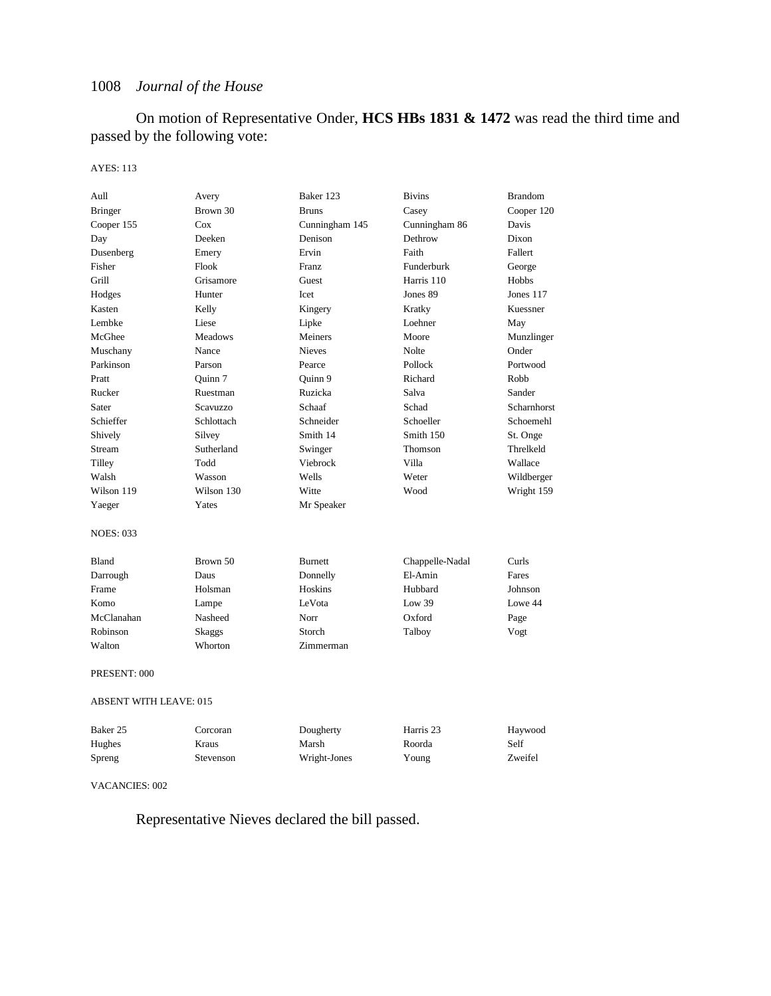On motion of Representative Onder, **HCS HBs 1831 & 1472** was read the third time and passed by the following vote:

#### AYES: 113

| Aull                          | Avery          | Baker 123      | <b>Bivins</b>   | <b>Brandom</b> |
|-------------------------------|----------------|----------------|-----------------|----------------|
| <b>Bringer</b>                | Brown 30       | <b>Bruns</b>   | Casey           | Cooper 120     |
| Cooper 155                    | Cox            | Cunningham 145 | Cunningham 86   | Davis          |
| Day                           | Deeken         | Denison        | Dethrow         | Dixon          |
| Dusenberg                     | Emery          | Ervin          | Faith           | Fallert        |
| Fisher                        | Flook          | Franz          | Funderburk      | George         |
| Grill                         | Grisamore      | Guest          | Harris 110      | Hobbs          |
| Hodges                        | Hunter         | Icet           | Jones 89        | Jones 117      |
| Kasten                        | Kelly          | Kingery        | Kratky          | Kuessner       |
| Lembke                        | Liese          | Lipke          | Loehner         | May            |
| McGhee                        | <b>Meadows</b> | Meiners        | Moore           | Munzlinger     |
| Muschany                      | Nance          | <b>Nieves</b>  | Nolte           | Onder          |
| Parkinson                     | Parson         | Pearce         | Pollock         | Portwood       |
| Pratt                         | Quinn 7        | Quinn 9        | Richard         | Robb           |
| Rucker                        | Ruestman       | Ruzicka        | Salva           | Sander         |
| Sater                         | Scavuzzo       | Schaaf         | Schad           | Scharnhorst    |
| Schieffer                     | Schlottach     | Schneider      | Schoeller       | Schoemehl      |
| Shively                       | Silvey         | Smith 14       | Smith 150       | St. Onge       |
| Stream                        | Sutherland     | Swinger        | Thomson         | Threlkeld      |
| Tilley                        | Todd           | Viebrock       | Villa           | Wallace        |
| Walsh                         | Wasson         | Wells          | Weter           | Wildberger     |
| Wilson 119                    | Wilson 130     | Witte          | Wood            | Wright 159     |
| Yaeger                        | Yates          | Mr Speaker     |                 |                |
| <b>NOES: 033</b>              |                |                |                 |                |
| Bland                         | Brown 50       | <b>Burnett</b> | Chappelle-Nadal | Curls          |
| Darrough                      | Daus           | Donnelly       | El-Amin         | Fares          |
| Frame                         | Holsman        | Hoskins        | Hubbard         | Johnson        |
| Komo                          | Lampe          | LeVota         | Low $39$        | Lowe 44        |
| McClanahan                    | Nasheed        | Norr           | Oxford          | Page           |
| Robinson                      | Skaggs         | Storch         | Talboy          | Vogt           |
| Walton                        | Whorton        | Zimmerman      |                 |                |
| PRESENT: 000                  |                |                |                 |                |
| <b>ABSENT WITH LEAVE: 015</b> |                |                |                 |                |
| Baker 25                      | Corcoran       | Dougherty      | Harris 23       | Haywood        |
| Hughes                        | Kraus          | Marsh          | Roorda          | Self           |
| Spreng                        | Stevenson      | Wright-Jones   | Young           | Zweifel        |
|                               |                |                |                 |                |

VACANCIES: 002

Representative Nieves declared the bill passed.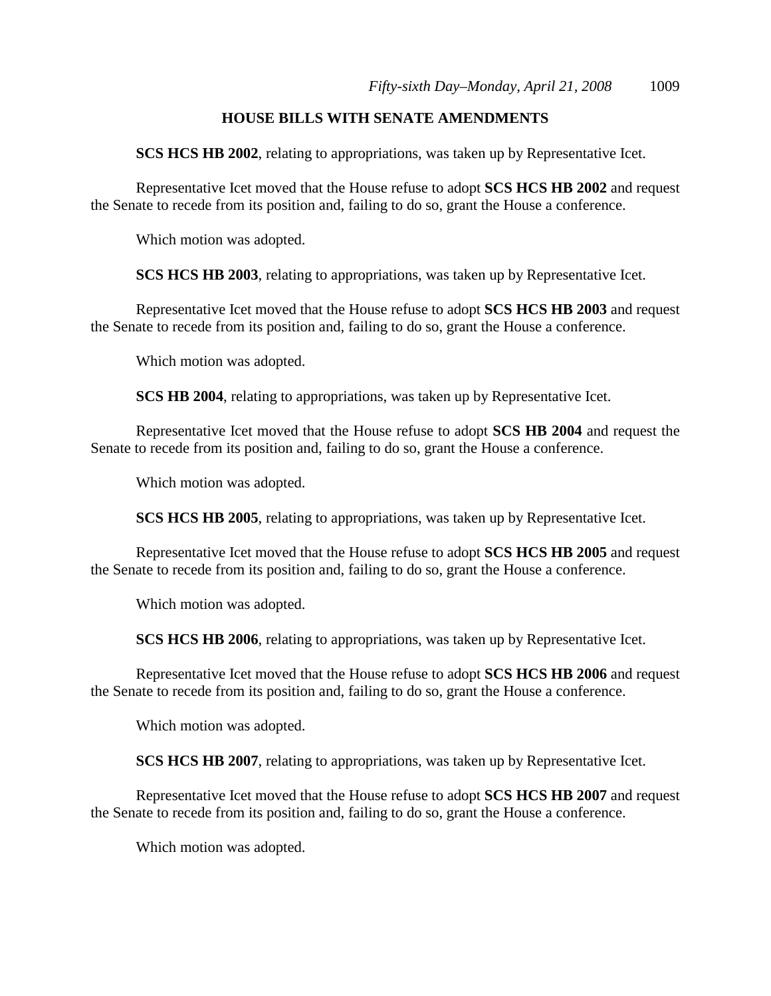# **HOUSE BILLS WITH SENATE AMENDMENTS**

**SCS HCS HB 2002**, relating to appropriations, was taken up by Representative Icet.

Representative Icet moved that the House refuse to adopt **SCS HCS HB 2002** and request the Senate to recede from its position and, failing to do so, grant the House a conference.

Which motion was adopted.

**SCS HCS HB 2003**, relating to appropriations, was taken up by Representative Icet.

Representative Icet moved that the House refuse to adopt **SCS HCS HB 2003** and request the Senate to recede from its position and, failing to do so, grant the House a conference.

Which motion was adopted.

**SCS HB 2004**, relating to appropriations, was taken up by Representative Icet.

Representative Icet moved that the House refuse to adopt **SCS HB 2004** and request the Senate to recede from its position and, failing to do so, grant the House a conference.

Which motion was adopted.

**SCS HCS HB 2005**, relating to appropriations, was taken up by Representative Icet.

Representative Icet moved that the House refuse to adopt **SCS HCS HB 2005** and request the Senate to recede from its position and, failing to do so, grant the House a conference.

Which motion was adopted.

**SCS HCS HB 2006**, relating to appropriations, was taken up by Representative Icet.

Representative Icet moved that the House refuse to adopt **SCS HCS HB 2006** and request the Senate to recede from its position and, failing to do so, grant the House a conference.

Which motion was adopted.

**SCS HCS HB 2007**, relating to appropriations, was taken up by Representative Icet.

Representative Icet moved that the House refuse to adopt **SCS HCS HB 2007** and request the Senate to recede from its position and, failing to do so, grant the House a conference.

Which motion was adopted.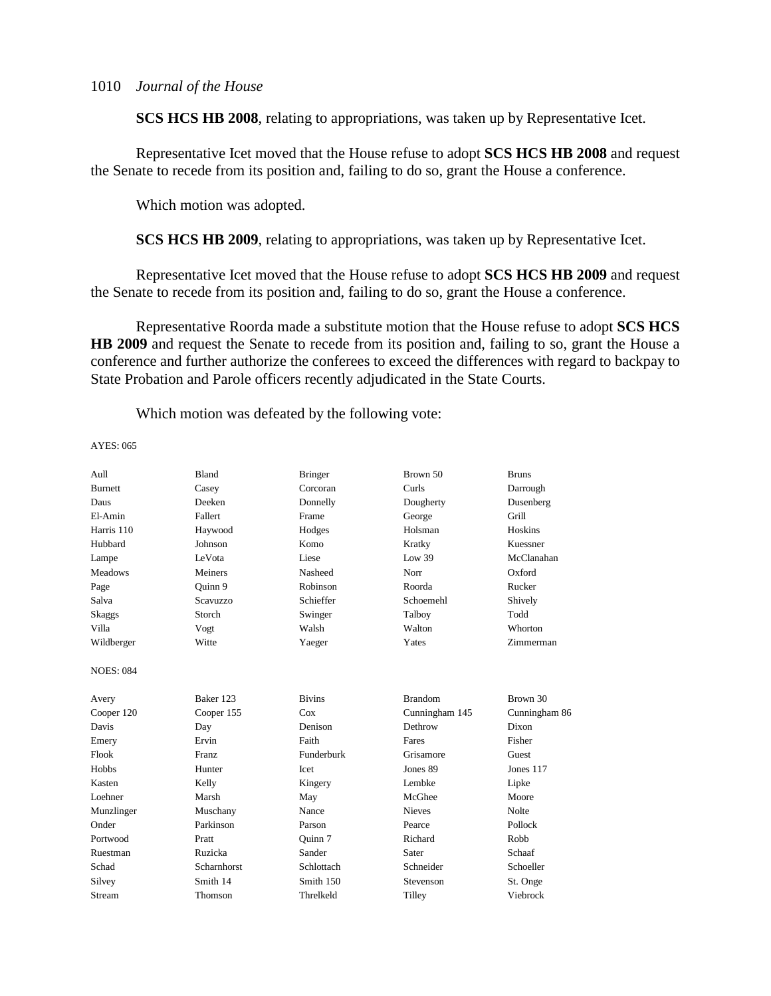**SCS HCS HB 2008**, relating to appropriations, was taken up by Representative Icet.

Representative Icet moved that the House refuse to adopt **SCS HCS HB 2008** and request the Senate to recede from its position and, failing to do so, grant the House a conference.

Which motion was adopted.

**SCS HCS HB 2009**, relating to appropriations, was taken up by Representative Icet.

Representative Icet moved that the House refuse to adopt **SCS HCS HB 2009** and request the Senate to recede from its position and, failing to do so, grant the House a conference.

Representative Roorda made a substitute motion that the House refuse to adopt **SCS HCS HB 2009** and request the Senate to recede from its position and, failing to so, grant the House a conference and further authorize the conferees to exceed the differences with regard to backpay to State Probation and Parole officers recently adjudicated in the State Courts.

Which motion was defeated by the following vote:

AYES: 065

| Aull             | Bland           | <b>Bringer</b> | Brown 50       | <b>Bruns</b>  |
|------------------|-----------------|----------------|----------------|---------------|
| <b>Burnett</b>   | Casey           | Corcoran       | Curls          | Darrough      |
| Daus             | Deeken          | Donnelly       | Dougherty      | Dusenberg     |
|                  |                 |                |                |               |
| El-Amin          | Fallert         | Frame          | George         | Grill         |
| Harris 110       | Haywood         | Hodges         | Holsman        | Hoskins       |
| Hubbard          | Johnson         | Komo           | Kratky         | Kuessner      |
| Lampe            | LeVota          | Liese          | Low 39         | McClanahan    |
| <b>Meadows</b>   | Meiners         | Nasheed        | Norr           | Oxford        |
| Page             | Ouinn 9         | Robinson       | Roorda         | Rucker        |
| Salva            | <b>Scavuzzo</b> | Schieffer      | Schoemehl      | Shively       |
| Skaggs           | Storch          | Swinger        | Talboy         | Todd          |
| Villa            | Vogt            | Walsh          | Walton         | Whorton       |
| Wildberger       | Witte           | Yaeger         | Yates          | Zimmerman     |
| <b>NOES: 084</b> |                 |                |                |               |
| Avery            | Baker 123       | <b>Bivins</b>  | <b>Brandom</b> | Brown 30      |
| Cooper 120       | Cooper 155      | Cox            | Cunningham 145 | Cunningham 86 |
| Davis            | Day             | Denison        | Dethrow        | Dixon         |
| Emery            | Ervin           | Faith          | Fares          | Fisher        |
| Flook            | Franz           | Funderburk     | Grisamore      | Guest         |
| Hobbs            | Hunter          | Icet           | Jones 89       | Jones 117     |
| Kasten           | Kelly           | Kingery        | Lembke         | Lipke         |
| Loehner          | Marsh           | May            | McGhee         | Moore         |
| Munzlinger       | Muschany        | Nance          | <b>Nieves</b>  | Nolte         |
| Onder            | Parkinson       | Parson         | Pearce         | Pollock       |
| Portwood         | Pratt           | Ouinn 7        | Richard        | Robb          |
| Ruestman         | Ruzicka         | Sander         | Sater          | Schaaf        |
| Schad            | Scharnhorst     | Schlottach     | Schneider      | Schoeller     |
| Silvey           | Smith 14        | Smith 150      | Stevenson      | St. Onge      |
| Stream           | Thomson         | Threlkeld      | Tilley         | Viebrock      |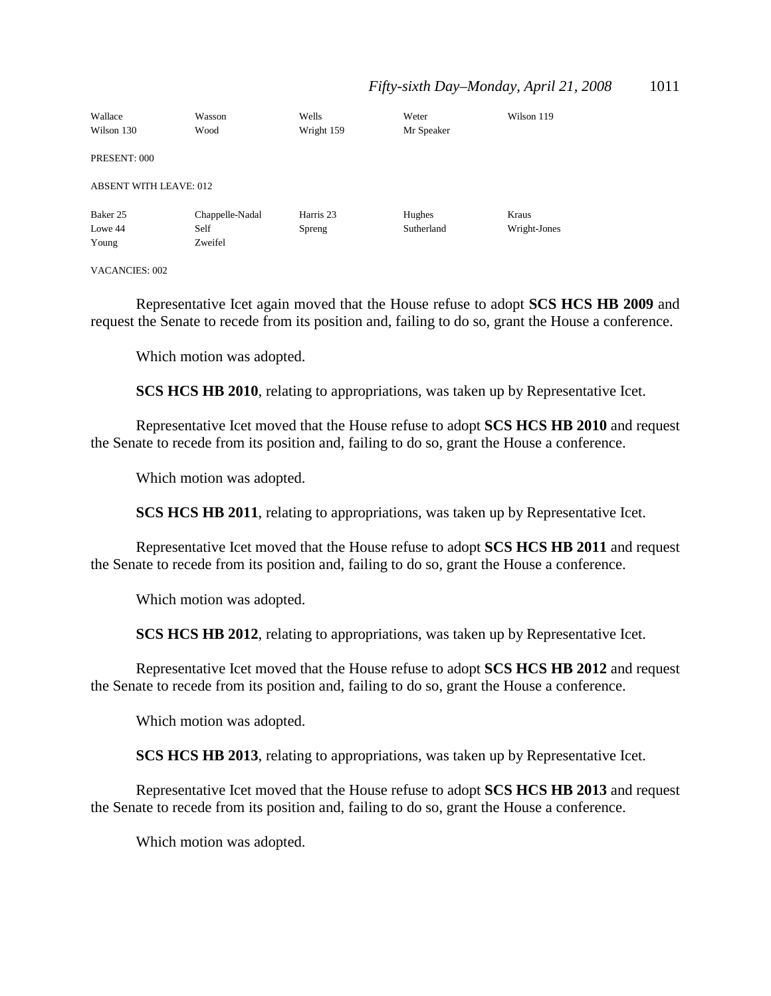# *Fifty-sixth Day–Monday, April 21, 2008* 1011

| Wallace                       | Wasson          | Wells      | Weter      | Wilson 119   |
|-------------------------------|-----------------|------------|------------|--------------|
| Wilson 130                    | Wood            | Wright 159 | Mr Speaker |              |
| PRESENT: 000                  |                 |            |            |              |
| <b>ABSENT WITH LEAVE: 012</b> |                 |            |            |              |
| Baker 25                      | Chappelle-Nadal | Harris 23  | Hughes     | Kraus        |
| Lowe 44                       | Self            | Spreng     | Sutherland | Wright-Jones |
| Young                         | Zweifel         |            |            |              |

#### VACANCIES: 002

Representative Icet again moved that the House refuse to adopt **SCS HCS HB 2009** and request the Senate to recede from its position and, failing to do so, grant the House a conference.

Which motion was adopted.

**SCS HCS HB 2010**, relating to appropriations, was taken up by Representative Icet.

Representative Icet moved that the House refuse to adopt **SCS HCS HB 2010** and request the Senate to recede from its position and, failing to do so, grant the House a conference.

Which motion was adopted.

**SCS HCS HB 2011**, relating to appropriations, was taken up by Representative Icet.

Representative Icet moved that the House refuse to adopt **SCS HCS HB 2011** and request the Senate to recede from its position and, failing to do so, grant the House a conference.

Which motion was adopted.

**SCS HCS HB 2012**, relating to appropriations, was taken up by Representative Icet.

Representative Icet moved that the House refuse to adopt **SCS HCS HB 2012** and request the Senate to recede from its position and, failing to do so, grant the House a conference.

Which motion was adopted.

**SCS HCS HB 2013**, relating to appropriations, was taken up by Representative Icet.

Representative Icet moved that the House refuse to adopt **SCS HCS HB 2013** and request the Senate to recede from its position and, failing to do so, grant the House a conference.

Which motion was adopted.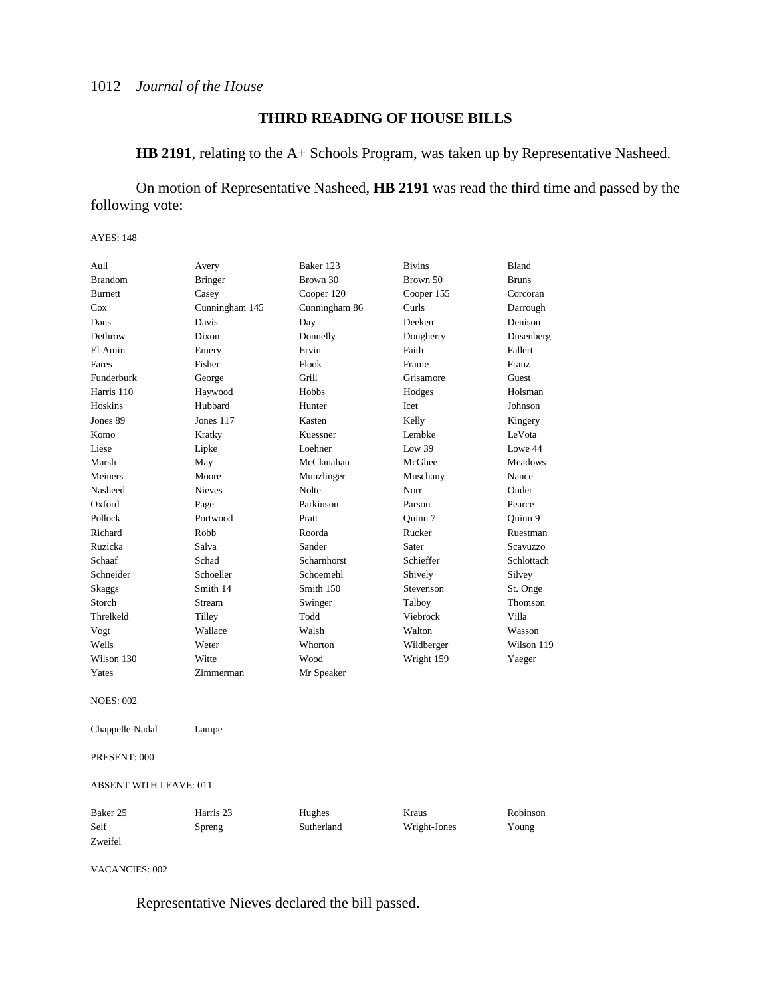# **THIRD READING OF HOUSE BILLS**

**HB 2191**, relating to the A+ Schools Program, was taken up by Representative Nasheed.

On motion of Representative Nasheed, **HB 2191** was read the third time and passed by the following vote:

AYES: 148

| Aull                          | Avery          | Baker 123     | <b>Bivins</b> | Bland           |
|-------------------------------|----------------|---------------|---------------|-----------------|
| <b>Brandom</b>                | <b>Bringer</b> | Brown 30      | Brown 50      | <b>Bruns</b>    |
| <b>Burnett</b>                | Casey          | Cooper 120    | Cooper 155    | Corcoran        |
| Cox                           | Cunningham 145 | Cunningham 86 | Curls         | Darrough        |
| Daus                          | Davis          | Day           | Deeken        | Denison         |
| Dethrow                       | Dixon          | Donnelly      | Dougherty     | Dusenberg       |
| El-Amin                       | Emery          | Ervin         | Faith         | Fallert         |
| Fares                         | Fisher         | Flook         | Frame         | Franz           |
| Funderburk                    | George         | Grill         | Grisamore     | Guest           |
| Harris 110                    | Haywood        | Hobbs         | Hodges        | Holsman         |
| Hoskins                       | Hubbard        | Hunter        | Icet          | Johnson         |
| Jones 89                      | Jones 117      | Kasten        | Kelly         | Kingery         |
| Komo                          | Kratky         | Kuessner      | Lembke        | LeVota          |
| Liese                         | Lipke          | Loehner       | Low $39$      | Lowe 44         |
| Marsh                         | May            | McClanahan    | McGhee        | <b>Meadows</b>  |
| Meiners                       | Moore          | Munzlinger    | Muschany      | Nance           |
| Nasheed                       | <b>Nieves</b>  | Nolte         | Norr          | Onder           |
| Oxford                        | Page           | Parkinson     | Parson        | Pearce          |
| Pollock                       | Portwood       | Pratt         | Ouinn 7       | Ouinn 9         |
| Richard                       | Robb           | Roorda        | Rucker        | Ruestman        |
| Ruzicka                       | Salva          | Sander        | Sater         | <b>Scavuzzo</b> |
| Schaaf                        | Schad          | Scharnhorst   | Schieffer     | Schlottach      |
| Schneider                     | Schoeller      | Schoemehl     | Shively       | Silvey          |
| Skaggs                        | Smith 14       | Smith 150     | Stevenson     | St. Onge        |
| Storch                        | Stream         | Swinger       | Talboy        | Thomson         |
| Threlkeld                     | Tilley         | Todd          | Viebrock      | Villa           |
| Vogt                          | Wallace        | Walsh         | Walton        | Wasson          |
| Wells                         | Weter          | Whorton       | Wildberger    | Wilson 119      |
| Wilson 130                    | Witte          | Wood          | Wright 159    | Yaeger          |
| Yates                         | Zimmerman      | Mr Speaker    |               |                 |
| <b>NOES: 002</b>              |                |               |               |                 |
| Chappelle-Nadal               | Lampe          |               |               |                 |
| PRESENT: 000                  |                |               |               |                 |
| <b>ABSENT WITH LEAVE: 011</b> |                |               |               |                 |
| Baker 25                      | Harris 23      | Hughes        | <b>Kraus</b>  | Robinson        |
| Self                          | Spreng         | Sutherland    | Wright-Jones  | Young           |
| Zweifel                       |                |               |               |                 |

VACANCIES: 002

Representative Nieves declared the bill passed.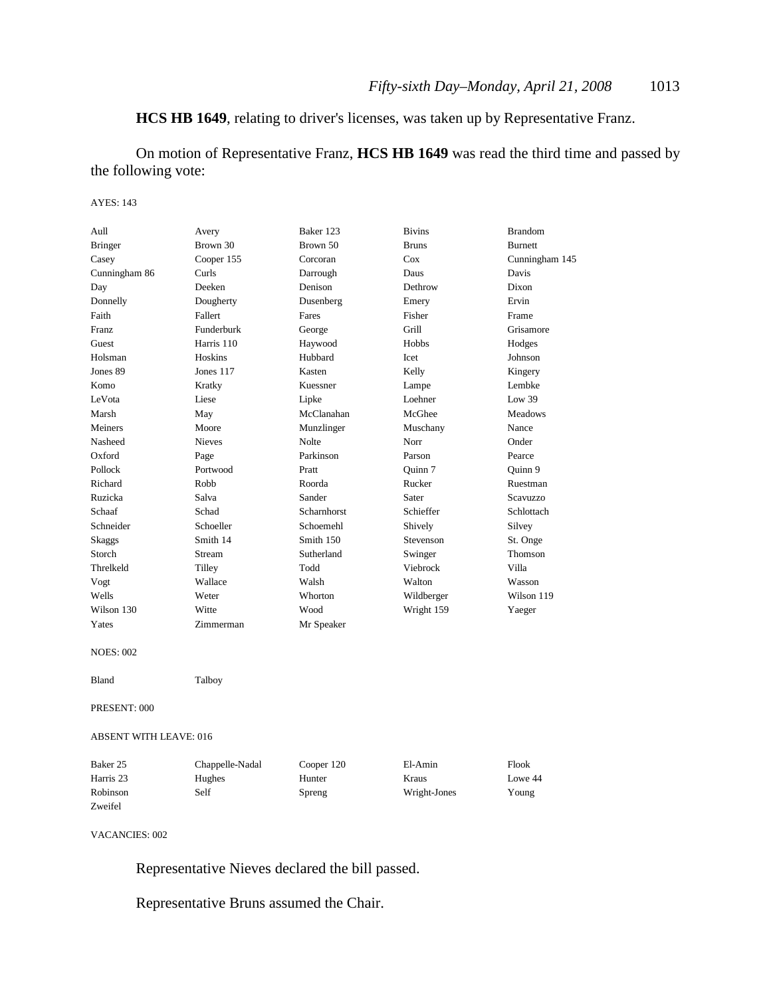**HCS HB 1649**, relating to driver's licenses, was taken up by Representative Franz.

On motion of Representative Franz, **HCS HB 1649** was read the third time and passed by the following vote:

#### AYES: 143

| Aull                          | Avery           | Baker 123   | <b>Bivins</b> | <b>Brandom</b> |
|-------------------------------|-----------------|-------------|---------------|----------------|
| <b>Bringer</b>                | Brown 30        | Brown 50    | <b>Bruns</b>  | <b>Burnett</b> |
| Casey                         | Cooper 155      | Corcoran    | Cox           | Cunningham 145 |
| Cunningham 86                 | Curls           | Darrough    | Daus          | Davis          |
| Day                           | Deeken          | Denison     | Dethrow       | Dixon          |
| Donnelly                      | Dougherty       | Dusenberg   | Emery         | Ervin          |
| Faith                         | Fallert         | Fares       | Fisher        | Frame          |
| Franz                         | Funderburk      | George      | Grill         | Grisamore      |
| Guest                         | Harris 110      | Haywood     | Hobbs         | Hodges         |
| Holsman                       | Hoskins         | Hubbard     | Icet          | Johnson        |
| Jones 89                      | Jones 117       | Kasten      | Kelly         | Kingery        |
| Komo                          | Kratky          | Kuessner    | Lampe         | Lembke         |
| LeVota                        | Liese           | Lipke       | Loehner       | Low 39         |
| Marsh                         | May             | McClanahan  | McGhee        | <b>Meadows</b> |
| Meiners                       | Moore           | Munzlinger  | Muschany      | Nance          |
| Nasheed                       | <b>Nieves</b>   | Nolte       | Norr          | Onder          |
| Oxford                        | Page            | Parkinson   | Parson        | Pearce         |
| Pollock                       | Portwood        | Pratt       | Ouinn 7       | Ouinn 9        |
| Richard                       | Robb            | Roorda      | Rucker        | Ruestman       |
| Ruzicka                       | Salva           | Sander      | Sater         | Scavuzzo       |
| Schaaf                        | Schad           | Scharnhorst | Schieffer     | Schlottach     |
| Schneider                     | Schoeller       | Schoemehl   | Shively       | Silvey         |
| <b>Skaggs</b>                 | Smith 14        | Smith 150   | Stevenson     | St. Onge       |
| Storch                        | Stream          | Sutherland  | Swinger       | Thomson        |
| Threlkeld                     | Tilley          | Todd        | Viebrock      | Villa          |
| Vogt                          | Wallace         | Walsh       | Walton        | Wasson         |
| Wells                         | Weter           | Whorton     | Wildberger    | Wilson 119     |
| Wilson 130                    | Witte           | Wood        | Wright 159    | Yaeger         |
| Yates                         | Zimmerman       | Mr Speaker  |               |                |
| <b>NOES: 002</b>              |                 |             |               |                |
| Bland                         | Talboy          |             |               |                |
| PRESENT: 000                  |                 |             |               |                |
| <b>ABSENT WITH LEAVE: 016</b> |                 |             |               |                |
| Baker 25                      | Chappelle-Nadal | Cooper 120  | El-Amin       | Flook          |
| Harris 23                     | Hughes          | Hunter      | <b>Kraus</b>  | Lowe 44        |
| Robinson                      | Self            | Spreng      | Wright-Jones  | Young          |
| Zweifel                       |                 |             |               |                |

VACANCIES: 002

Representative Nieves declared the bill passed.

Representative Bruns assumed the Chair.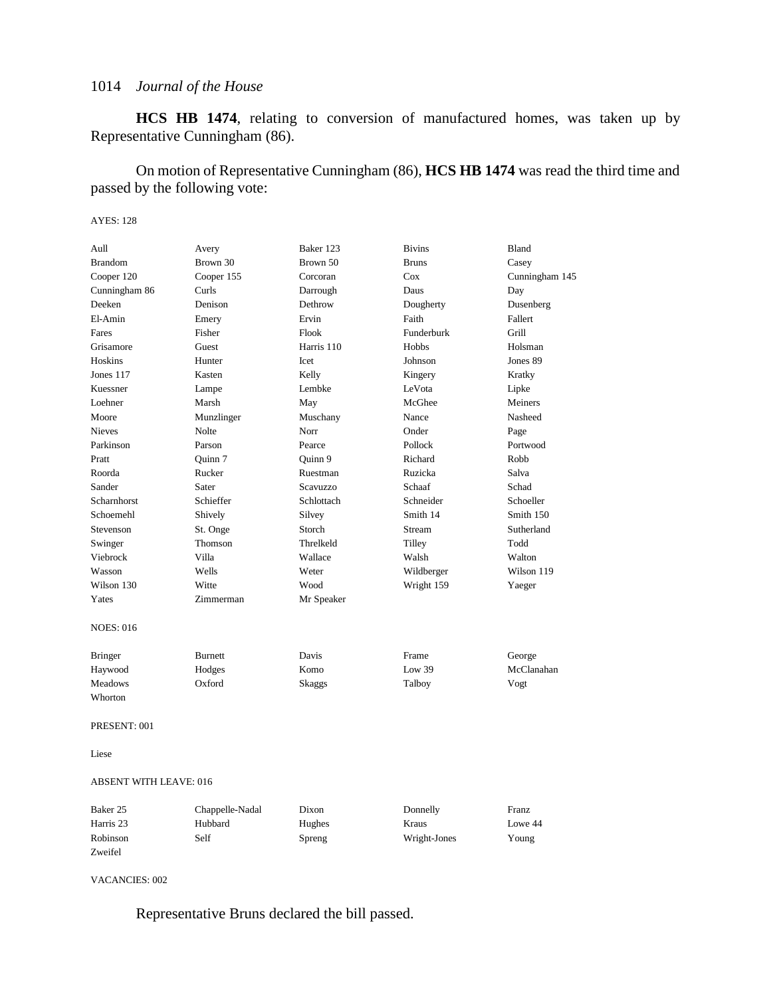**HCS HB 1474**, relating to conversion of manufactured homes, was taken up by Representative Cunningham (86).

On motion of Representative Cunningham (86), **HCS HB 1474** was read the third time and passed by the following vote:

#### AYES: 128

| Aull             | Avery          | Baker 123  | <b>Bivins</b> | Bland          |
|------------------|----------------|------------|---------------|----------------|
| <b>Brandom</b>   | Brown 30       | Brown 50   | <b>Bruns</b>  | Casey          |
| Cooper 120       | Cooper 155     | Corcoran   | Cox           | Cunningham 145 |
| Cunningham 86    | Curls          | Darrough   | Daus          | Day            |
| Deeken           | Denison        | Dethrow    | Dougherty     | Dusenberg      |
| El-Amin          | Emery          | Ervin      | Faith         | Fallert        |
| Fares            | Fisher         | Flook      | Funderburk    | Grill          |
| Grisamore        | Guest          | Harris 110 | Hobbs         | Holsman        |
| Hoskins          | Hunter         | Icet       | Johnson       | Jones 89       |
| Jones 117        | Kasten         | Kelly      | Kingery       | Kratky         |
| Kuessner         | Lampe          | Lembke     | LeVota        | Lipke          |
| Loehner          | Marsh          | May        | McGhee        | Meiners        |
| Moore            | Munzlinger     | Muschany   | Nance         | Nasheed        |
| <b>Nieves</b>    | Nolte          | Norr       | Onder         | Page           |
| Parkinson        | Parson         | Pearce     | Pollock       | Portwood       |
| Pratt            | Ouinn 7        | Ouinn 9    | Richard       | Robb           |
| Roorda           | Rucker         | Ruestman   | Ruzicka       | Salva          |
| Sander           | Sater          | Scavuzzo   | Schaaf        | Schad          |
| Scharnhorst      | Schieffer      | Schlottach | Schneider     | Schoeller      |
| Schoemehl        | Shively        | Silvey     | Smith 14      | Smith 150      |
| Stevenson        | St. Onge       | Storch     | Stream        | Sutherland     |
| Swinger          | Thomson        | Threlkeld  | Tilley        | Todd           |
| Viebrock         | Villa          | Wallace    | Walsh         | Walton         |
| Wasson           | Wells          | Weter      | Wildberger    | Wilson 119     |
| Wilson 130       | Witte          | Wood       | Wright 159    | Yaeger         |
| Yates            | Zimmerman      | Mr Speaker |               |                |
| <b>NOES: 016</b> |                |            |               |                |
| <b>Bringer</b>   | <b>Burnett</b> | Davis      | Frame         | George         |
| Haywood          | Hodges         | Komo       | Low 39        | McClanahan     |
| Meadows          | Oxford         | Skaggs     | Talboy        | Vogt           |
| Whorton          |                |            |               |                |
| PRESENT: 001     |                |            |               |                |
| Liese            |                |            |               |                |

#### ABSENT WITH LEAVE: 016

| Baker 25  | Chappelle-Nadal | Dixon  | Donnelly     | Franz   |
|-----------|-----------------|--------|--------------|---------|
| Harris 23 | Hubbard         | Hughes | Kraus        | Lowe 44 |
| Robinson  | Self            | Spreng | Wright-Jones | Young   |
| Zweifel   |                 |        |              |         |

#### VACANCIES: 002

Representative Bruns declared the bill passed.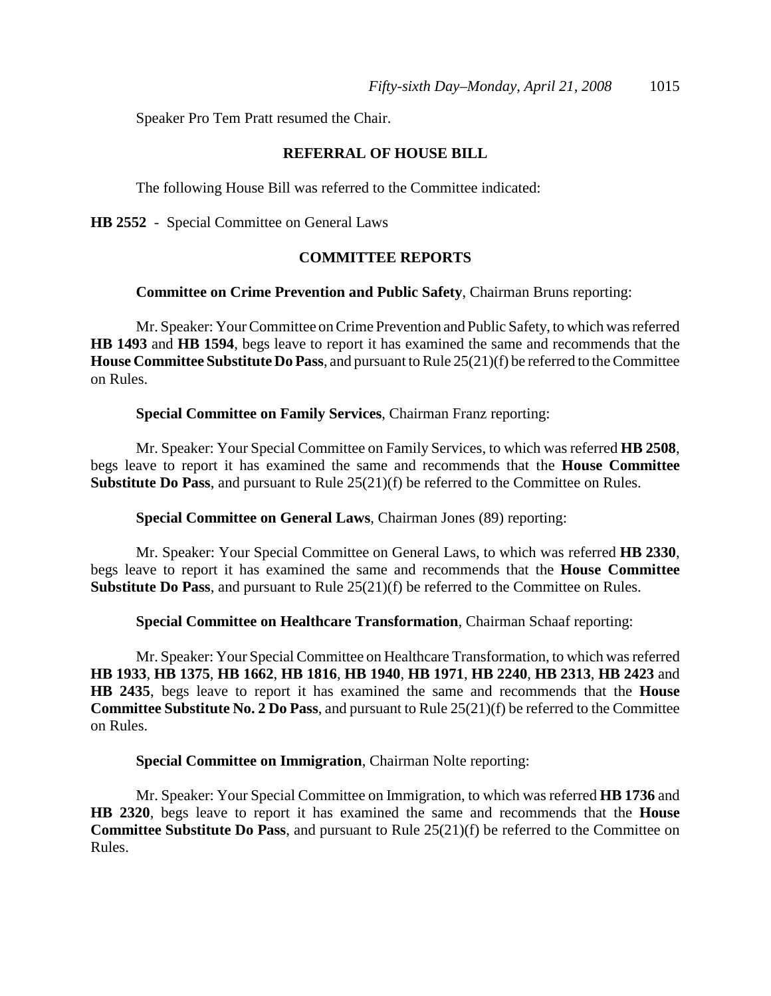Speaker Pro Tem Pratt resumed the Chair.

## **REFERRAL OF HOUSE BILL**

The following House Bill was referred to the Committee indicated:

**HB 2552** - Special Committee on General Laws

# **COMMITTEE REPORTS**

**Committee on Crime Prevention and Public Safety**, Chairman Bruns reporting:

Mr. Speaker: Your Committee on Crime Prevention and Public Safety, to which was referred **HB 1493** and **HB 1594**, begs leave to report it has examined the same and recommends that the **House Committee Substitute Do Pass**, and pursuant to Rule 25(21)(f) be referred to the Committee on Rules.

**Special Committee on Family Services**, Chairman Franz reporting:

Mr. Speaker: Your Special Committee on Family Services, to which was referred **HB 2508**, begs leave to report it has examined the same and recommends that the **House Committee Substitute Do Pass**, and pursuant to Rule 25(21)(f) be referred to the Committee on Rules.

**Special Committee on General Laws**, Chairman Jones (89) reporting:

Mr. Speaker: Your Special Committee on General Laws, to which was referred **HB 2330**, begs leave to report it has examined the same and recommends that the **House Committee Substitute Do Pass**, and pursuant to Rule 25(21)(f) be referred to the Committee on Rules.

**Special Committee on Healthcare Transformation**, Chairman Schaaf reporting:

Mr. Speaker: Your Special Committee on Healthcare Transformation, to which was referred **HB 1933**, **HB 1375**, **HB 1662**, **HB 1816**, **HB 1940**, **HB 1971**, **HB 2240**, **HB 2313**, **HB 2423** and **HB 2435**, begs leave to report it has examined the same and recommends that the **House Committee Substitute No. 2 Do Pass**, and pursuant to Rule 25(21)(f) be referred to the Committee on Rules.

#### **Special Committee on Immigration**, Chairman Nolte reporting:

Mr. Speaker: Your Special Committee on Immigration, to which was referred **HB 1736** and **HB 2320**, begs leave to report it has examined the same and recommends that the **House Committee Substitute Do Pass**, and pursuant to Rule 25(21)(f) be referred to the Committee on Rules.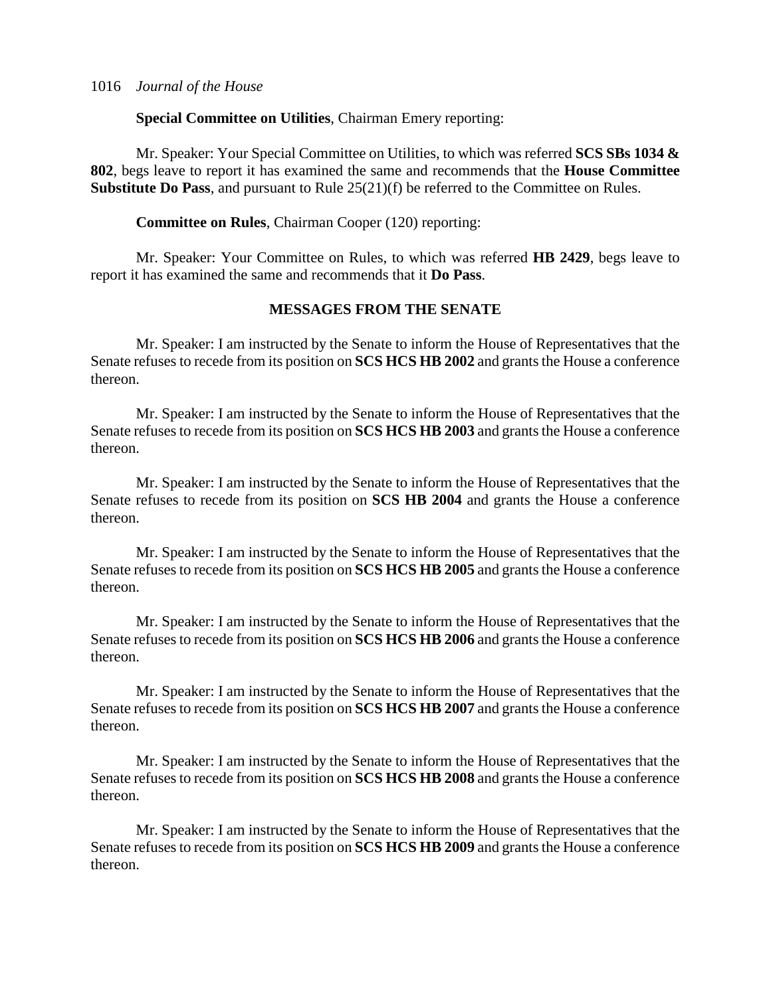**Special Committee on Utilities**, Chairman Emery reporting:

Mr. Speaker: Your Special Committee on Utilities, to which was referred **SCS SBs 1034 & 802**, begs leave to report it has examined the same and recommends that the **House Committee Substitute Do Pass**, and pursuant to Rule 25(21)(f) be referred to the Committee on Rules.

**Committee on Rules**, Chairman Cooper (120) reporting:

Mr. Speaker: Your Committee on Rules, to which was referred **HB 2429**, begs leave to report it has examined the same and recommends that it **Do Pass**.

#### **MESSAGES FROM THE SENATE**

Mr. Speaker: I am instructed by the Senate to inform the House of Representatives that the Senate refuses to recede from its position on **SCS HCS HB 2002** and grants the House a conference thereon.

Mr. Speaker: I am instructed by the Senate to inform the House of Representatives that the Senate refuses to recede from its position on **SCS HCS HB 2003** and grants the House a conference thereon.

Mr. Speaker: I am instructed by the Senate to inform the House of Representatives that the Senate refuses to recede from its position on **SCS HB 2004** and grants the House a conference thereon.

Mr. Speaker: I am instructed by the Senate to inform the House of Representatives that the Senate refuses to recede from its position on **SCS HCS HB 2005** and grants the House a conference thereon.

Mr. Speaker: I am instructed by the Senate to inform the House of Representatives that the Senate refuses to recede from its position on **SCS HCS HB 2006** and grants the House a conference thereon.

Mr. Speaker: I am instructed by the Senate to inform the House of Representatives that the Senate refuses to recede from its position on **SCS HCS HB 2007** and grants the House a conference thereon.

Mr. Speaker: I am instructed by the Senate to inform the House of Representatives that the Senate refuses to recede from its position on **SCS HCS HB 2008** and grants the House a conference thereon.

Mr. Speaker: I am instructed by the Senate to inform the House of Representatives that the Senate refuses to recede from its position on **SCS HCS HB 2009** and grants the House a conference thereon.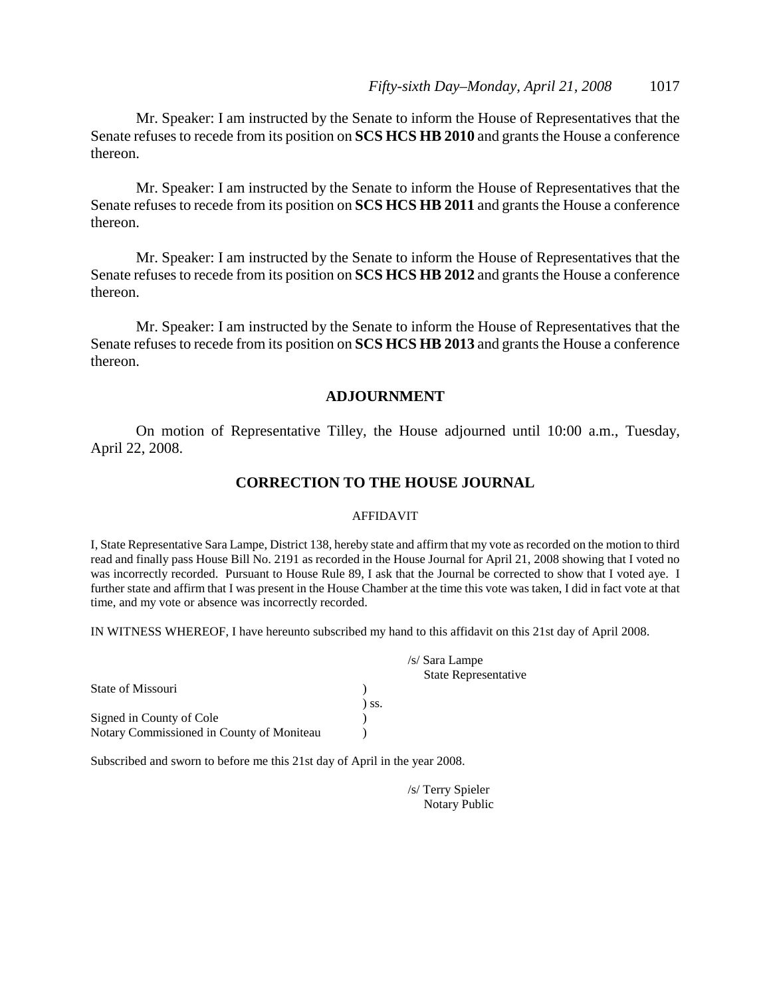Mr. Speaker: I am instructed by the Senate to inform the House of Representatives that the Senate refuses to recede from its position on **SCS HCS HB 2010** and grants the House a conference thereon.

Mr. Speaker: I am instructed by the Senate to inform the House of Representatives that the Senate refuses to recede from its position on **SCS HCS HB 2011** and grants the House a conference thereon.

Mr. Speaker: I am instructed by the Senate to inform the House of Representatives that the Senate refuses to recede from its position on **SCS HCS HB 2012** and grants the House a conference thereon.

Mr. Speaker: I am instructed by the Senate to inform the House of Representatives that the Senate refuses to recede from its position on **SCS HCS HB 2013** and grants the House a conference thereon.

#### **ADJOURNMENT**

On motion of Representative Tilley, the House adjourned until 10:00 a.m., Tuesday, April 22, 2008.

#### **CORRECTION TO THE HOUSE JOURNAL**

#### AFFIDAVIT

I, State Representative Sara Lampe, District 138, hereby state and affirm that my vote as recorded on the motion to third read and finally pass House Bill No. 2191 as recorded in the House Journal for April 21, 2008 showing that I voted no was incorrectly recorded. Pursuant to House Rule 89, I ask that the Journal be corrected to show that I voted aye. I further state and affirm that I was present in the House Chamber at the time this vote was taken, I did in fact vote at that time, and my vote or absence was incorrectly recorded.

IN WITNESS WHEREOF, I have hereunto subscribed my hand to this affidavit on this 21st day of April 2008.

|                                           |            | $/s/$ Sara Lampe            |
|-------------------------------------------|------------|-----------------------------|
|                                           |            | <b>State Representative</b> |
| State of Missouri                         |            |                             |
|                                           | $\sum$ SS. |                             |
| Signed in County of Cole                  |            |                             |
| Notary Commissioned in County of Moniteau |            |                             |

Subscribed and sworn to before me this 21st day of April in the year 2008.

/s/ Terry Spieler Notary Public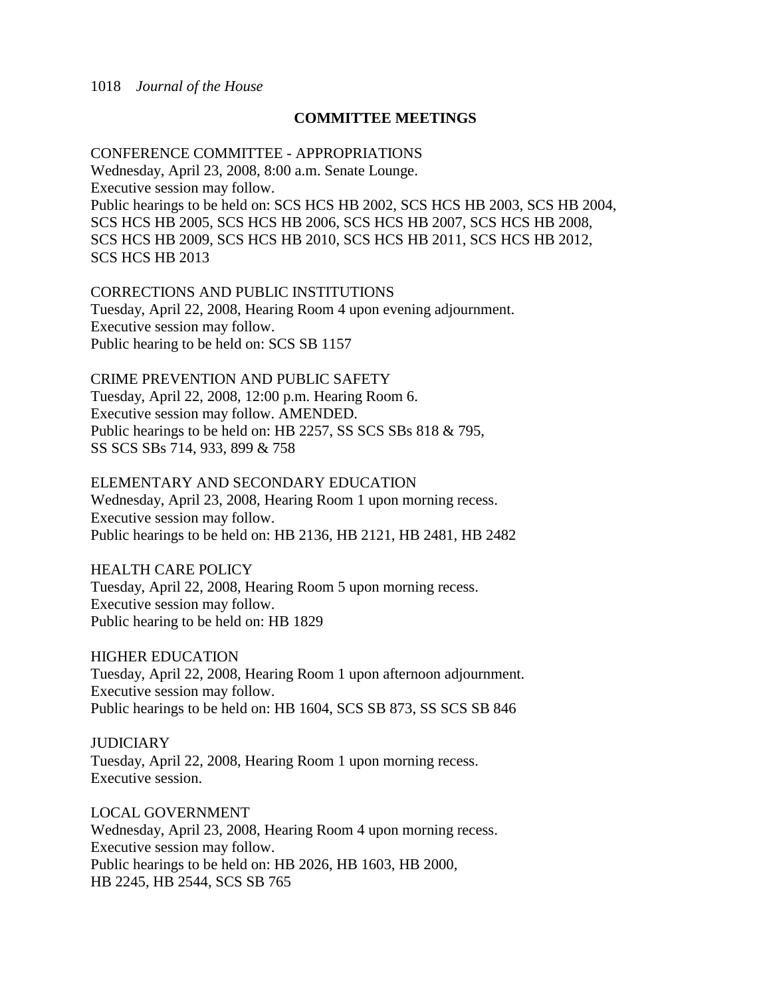# **COMMITTEE MEETINGS**

## CONFERENCE COMMITTEE - APPROPRIATIONS

Wednesday, April 23, 2008, 8:00 a.m. Senate Lounge. Executive session may follow. Public hearings to be held on: SCS HCS HB 2002, SCS HCS HB 2003, SCS HB 2004, SCS HCS HB 2005, SCS HCS HB 2006, SCS HCS HB 2007, SCS HCS HB 2008, SCS HCS HB 2009, SCS HCS HB 2010, SCS HCS HB 2011, SCS HCS HB 2012, SCS HCS HB 2013

CORRECTIONS AND PUBLIC INSTITUTIONS Tuesday, April 22, 2008, Hearing Room 4 upon evening adjournment. Executive session may follow. Public hearing to be held on: SCS SB 1157

CRIME PREVENTION AND PUBLIC SAFETY Tuesday, April 22, 2008, 12:00 p.m. Hearing Room 6. Executive session may follow. AMENDED. Public hearings to be held on: HB 2257, SS SCS SBs 818 & 795, SS SCS SBs 714, 933, 899 & 758

#### ELEMENTARY AND SECONDARY EDUCATION

Wednesday, April 23, 2008, Hearing Room 1 upon morning recess. Executive session may follow. Public hearings to be held on: HB 2136, HB 2121, HB 2481, HB 2482

## HEALTH CARE POLICY

Tuesday, April 22, 2008, Hearing Room 5 upon morning recess. Executive session may follow. Public hearing to be held on: HB 1829

HIGHER EDUCATION

Tuesday, April 22, 2008, Hearing Room 1 upon afternoon adjournment. Executive session may follow. Public hearings to be held on: HB 1604, SCS SB 873, SS SCS SB 846

**JUDICIARY** 

Tuesday, April 22, 2008, Hearing Room 1 upon morning recess. Executive session.

LOCAL GOVERNMENT Wednesday, April 23, 2008, Hearing Room 4 upon morning recess. Executive session may follow. Public hearings to be held on: HB 2026, HB 1603, HB 2000, HB 2245, HB 2544, SCS SB 765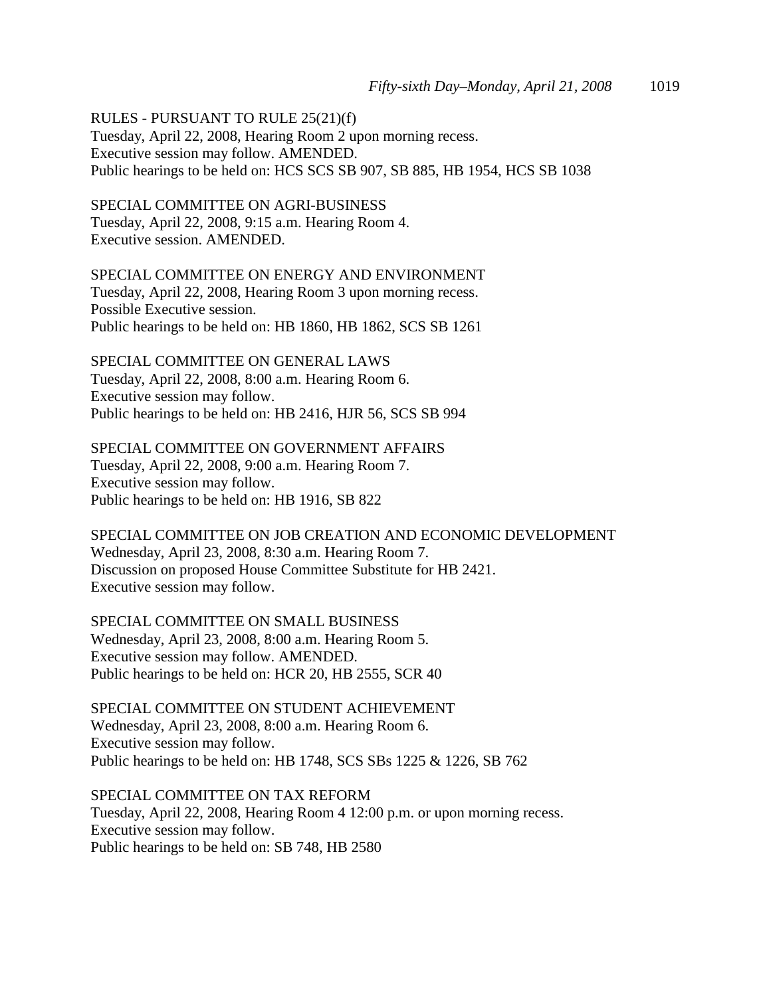RULES - PURSUANT TO RULE 25(21)(f) Tuesday, April 22, 2008, Hearing Room 2 upon morning recess. Executive session may follow. AMENDED. Public hearings to be held on: HCS SCS SB 907, SB 885, HB 1954, HCS SB 1038

SPECIAL COMMITTEE ON AGRI-BUSINESS Tuesday, April 22, 2008, 9:15 a.m. Hearing Room 4. Executive session. AMENDED.

SPECIAL COMMITTEE ON ENERGY AND ENVIRONMENT Tuesday, April 22, 2008, Hearing Room 3 upon morning recess. Possible Executive session. Public hearings to be held on: HB 1860, HB 1862, SCS SB 1261

SPECIAL COMMITTEE ON GENERAL LAWS Tuesday, April 22, 2008, 8:00 a.m. Hearing Room 6. Executive session may follow. Public hearings to be held on: HB 2416, HJR 56, SCS SB 994

SPECIAL COMMITTEE ON GOVERNMENT AFFAIRS Tuesday, April 22, 2008, 9:00 a.m. Hearing Room 7. Executive session may follow. Public hearings to be held on: HB 1916, SB 822

SPECIAL COMMITTEE ON JOB CREATION AND ECONOMIC DEVELOPMENT Wednesday, April 23, 2008, 8:30 a.m. Hearing Room 7. Discussion on proposed House Committee Substitute for HB 2421. Executive session may follow.

SPECIAL COMMITTEE ON SMALL BUSINESS Wednesday, April 23, 2008, 8:00 a.m. Hearing Room 5. Executive session may follow. AMENDED. Public hearings to be held on: HCR 20, HB 2555, SCR 40

SPECIAL COMMITTEE ON STUDENT ACHIEVEMENT Wednesday, April 23, 2008, 8:00 a.m. Hearing Room 6. Executive session may follow. Public hearings to be held on: HB 1748, SCS SBs 1225 & 1226, SB 762

SPECIAL COMMITTEE ON TAX REFORM Tuesday, April 22, 2008, Hearing Room 4 12:00 p.m. or upon morning recess. Executive session may follow. Public hearings to be held on: SB 748, HB 2580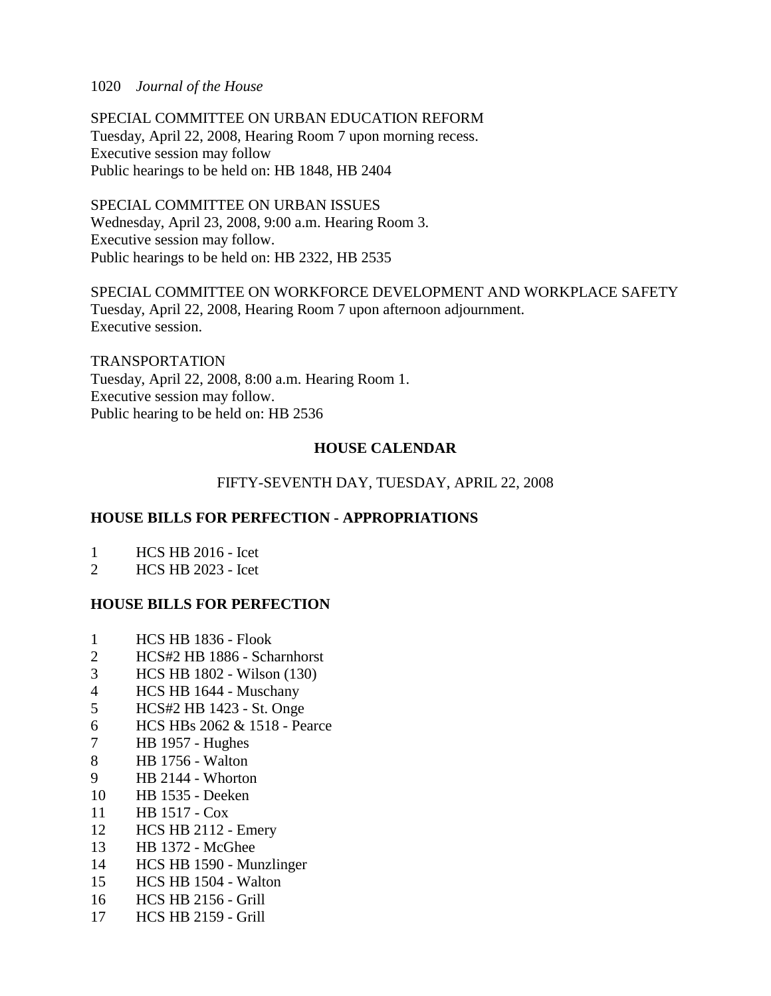SPECIAL COMMITTEE ON URBAN EDUCATION REFORM Tuesday, April 22, 2008, Hearing Room 7 upon morning recess. Executive session may follow Public hearings to be held on: HB 1848, HB 2404

SPECIAL COMMITTEE ON URBAN ISSUES Wednesday, April 23, 2008, 9:00 a.m. Hearing Room 3. Executive session may follow. Public hearings to be held on: HB 2322, HB 2535

SPECIAL COMMITTEE ON WORKFORCE DEVELOPMENT AND WORKPLACE SAFETY Tuesday, April 22, 2008, Hearing Room 7 upon afternoon adjournment. Executive session.

TRANSPORTATION Tuesday, April 22, 2008, 8:00 a.m. Hearing Room 1. Executive session may follow. Public hearing to be held on: HB 2536

# **HOUSE CALENDAR**

# FIFTY-SEVENTH DAY, TUESDAY, APRIL 22, 2008

# **HOUSE BILLS FOR PERFECTION - APPROPRIATIONS**

- 1 HCS HB 2016 Icet
- 2 HCS HB 2023 Icet

# **HOUSE BILLS FOR PERFECTION**

- 1 HCS HB 1836 Flook
- 2 HCS#2 HB 1886 Scharnhorst
- 3 HCS HB 1802 Wilson (130)
- 4 HCS HB 1644 Muschany
- 5 HCS#2 HB 1423 St. Onge
- 6 HCS HBs 2062 & 1518 Pearce
- 7 HB 1957 Hughes
- 8 HB 1756 Walton
- 9 HB 2144 Whorton
- 10 HB 1535 Deeken
- 11 HB 1517 Cox
- 12 HCS HB 2112 Emery
- 13 HB 1372 McGhee
- 14 HCS HB 1590 Munzlinger
- 15 HCS HB 1504 Walton
- 16 HCS HB 2156 Grill
- 17 HCS HB 2159 Grill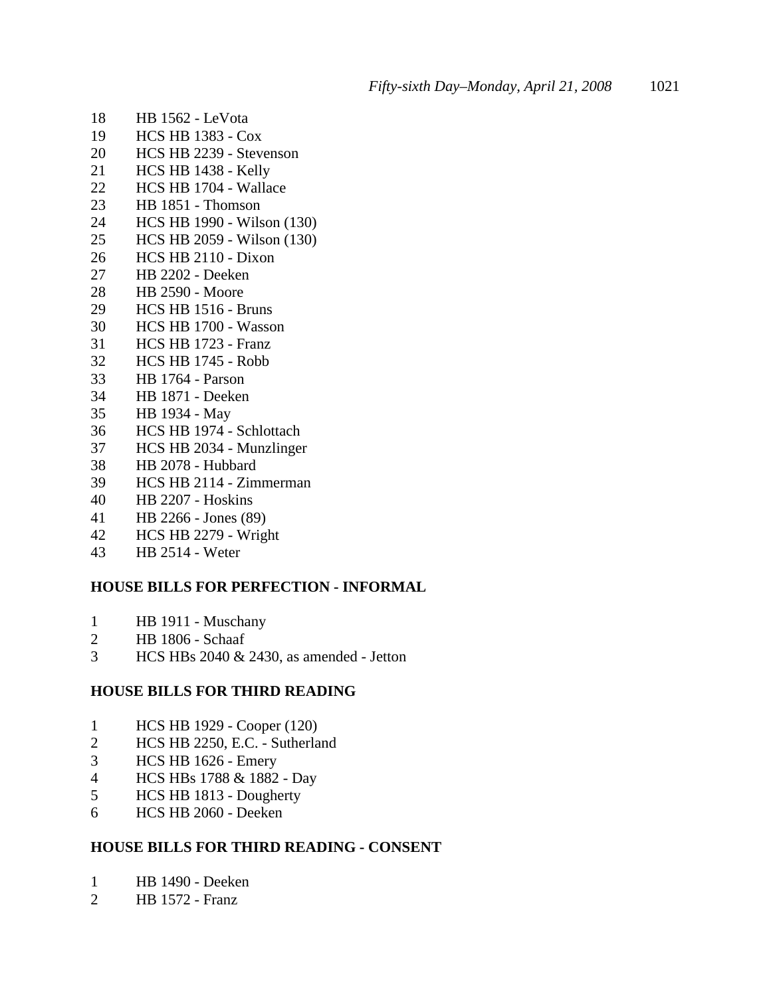- 18 HB 1562 LeVota
- 19 HCS HB 1383 Cox
- 20 HCS HB 2239 Stevenson
- 21 HCS HB 1438 Kelly
- 22 HCS HB 1704 Wallace
- 23 HB 1851 Thomson
- 24 HCS HB 1990 Wilson (130)
- 25 HCS HB 2059 Wilson (130)
- 26 HCS HB 2110 Dixon
- 27 HB 2202 Deeken
- 28 HB 2590 Moore
- 29 HCS HB 1516 Bruns
- 30 HCS HB 1700 Wasson
- 31 HCS HB 1723 Franz
- 32 HCS HB 1745 Robb
- 33 HB 1764 Parson
- 34 HB 1871 Deeken
- 35 HB 1934 May
- 36 HCS HB 1974 Schlottach
- 37 HCS HB 2034 Munzlinger
- 38 HB 2078 Hubbard
- 39 HCS HB 2114 Zimmerman
- 40 HB 2207 Hoskins
- 41 HB 2266 Jones (89)
- 42 HCS HB 2279 Wright
- 43 HB 2514 Weter

#### **HOUSE BILLS FOR PERFECTION - INFORMAL**

- 1 HB 1911 Muschany
- 2 HB 1806 Schaaf
- 3 HCS HBs 2040 & 2430, as amended Jetton

#### **HOUSE BILLS FOR THIRD READING**

- 1 HCS HB 1929 Cooper (120)
- 2 HCS HB 2250, E.C. Sutherland
- 3 HCS HB 1626 Emery
- 4 HCS HBs 1788 & 1882 Day
- 5 HCS HB 1813 Dougherty
- 6 HCS HB 2060 Deeken

## **HOUSE BILLS FOR THIRD READING - CONSENT**

- 1 HB 1490 Deeken
- 2 HB 1572 Franz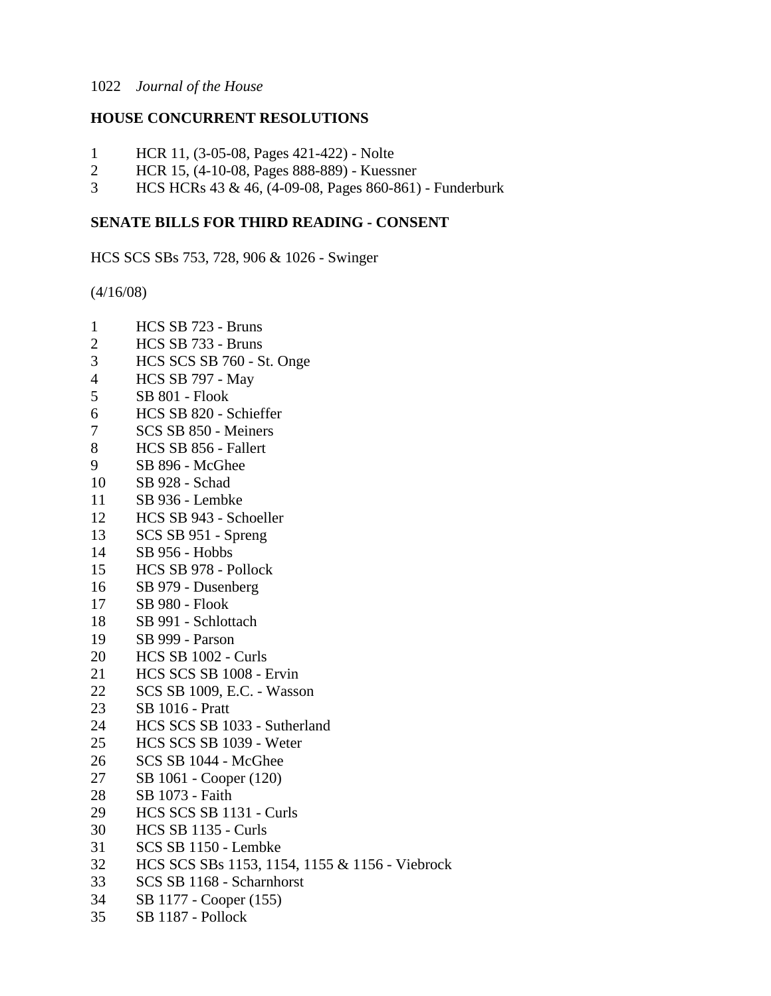# **HOUSE CONCURRENT RESOLUTIONS**

- 1 HCR 11, (3-05-08, Pages 421-422) Nolte
- 2 HCR 15, (4-10-08, Pages 888-889) Kuessner
- 3 HCS HCRs 43 & 46, (4-09-08, Pages 860-861) Funderburk

# **SENATE BILLS FOR THIRD READING - CONSENT**

HCS SCS SBs 753, 728, 906 & 1026 - Swinger

(4/16/08)

- 1 HCS SB 723 Bruns
- 2 HCS SB 733 Bruns
- 3 HCS SCS SB 760 St. Onge
- 4 HCS SB 797 May
- 5 SB 801 Flook
- 6 HCS SB 820 Schieffer
- 7 SCS SB 850 Meiners
- 8 HCS SB 856 Fallert
- 9 SB 896 McGhee
- 10 SB 928 Schad
- 11 SB 936 Lembke
- 12 HCS SB 943 Schoeller
- 13 SCS SB 951 Spreng
- 14 SB 956 Hobbs
- 15 HCS SB 978 Pollock
- 16 SB 979 Dusenberg
- 17 SB 980 Flook
- 18 SB 991 Schlottach
- 19 SB 999 Parson
- 20 HCS SB 1002 Curls
- 21 HCS SCS SB 1008 Ervin
- 22 SCS SB 1009, E.C. Wasson
- 23 SB 1016 Pratt
- 24 HCS SCS SB 1033 Sutherland
- 25 HCS SCS SB 1039 Weter
- 26 SCS SB 1044 McGhee
- 27 SB 1061 Cooper (120)
- 28 SB 1073 Faith
- 29 HCS SCS SB 1131 Curls
- 30 HCS SB 1135 Curls
- 31 SCS SB 1150 Lembke
- 32 HCS SCS SBs 1153, 1154, 1155 & 1156 Viebrock
- 33 SCS SB 1168 Scharnhorst
- 34 SB 1177 Cooper (155)
- 35 SB 1187 Pollock